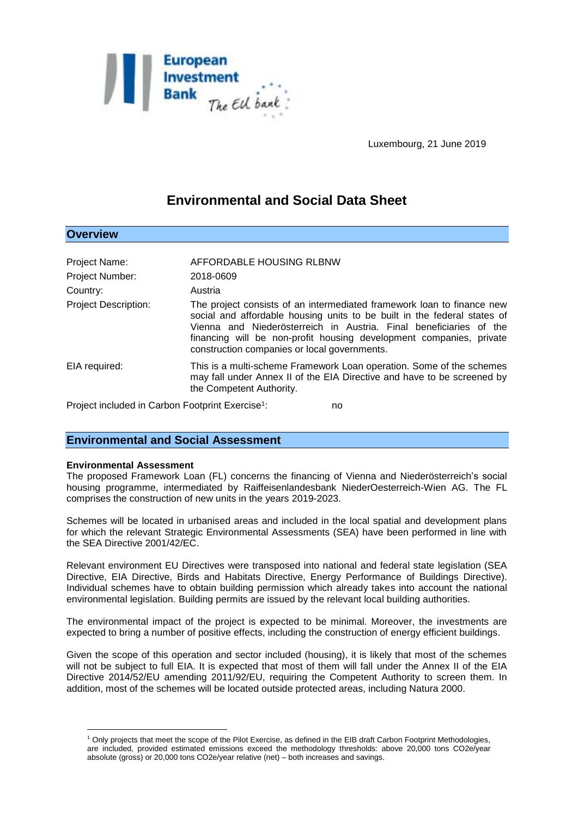

Luxembourg, 21 June 2019

# **Environmental and Social Data Sheet**

| Project Name:                                                      | AFFORDABLE HOUSING RLBNW                                                                                                                                                                                                                                                                                                                        |
|--------------------------------------------------------------------|-------------------------------------------------------------------------------------------------------------------------------------------------------------------------------------------------------------------------------------------------------------------------------------------------------------------------------------------------|
| <b>Project Number:</b>                                             | 2018-0609                                                                                                                                                                                                                                                                                                                                       |
| Country:                                                           | Austria                                                                                                                                                                                                                                                                                                                                         |
| <b>Project Description:</b>                                        | The project consists of an intermediated framework loan to finance new<br>social and affordable housing units to be built in the federal states of<br>Vienna and Niederösterreich in Austria. Final beneficiaries of the<br>financing will be non-profit housing development companies, private<br>construction companies or local governments. |
| EIA required:                                                      | This is a multi-scheme Framework Loan operation. Some of the schemes<br>may fall under Annex II of the EIA Directive and have to be screened by<br>the Competent Authority.                                                                                                                                                                     |
| Project included in Carbon Footprint Exercise <sup>1</sup> :<br>no |                                                                                                                                                                                                                                                                                                                                                 |

## **Environmental and Social Assessment**

#### **Environmental Assessment**

 $\overline{a}$ 

**Overview**

The proposed Framework Loan (FL) concerns the financing of Vienna and Niederösterreich's social housing programme, intermediated by Raiffeisenlandesbank NiederOesterreich-Wien AG. The FL comprises the construction of new units in the years 2019-2023.

Schemes will be located in urbanised areas and included in the local spatial and development plans for which the relevant Strategic Environmental Assessments (SEA) have been performed in line with the SEA Directive 2001/42/EC.

Relevant environment EU Directives were transposed into national and federal state legislation (SEA Directive, EIA Directive, Birds and Habitats Directive, Energy Performance of Buildings Directive). Individual schemes have to obtain building permission which already takes into account the national environmental legislation. Building permits are issued by the relevant local building authorities.

The environmental impact of the project is expected to be minimal. Moreover, the investments are expected to bring a number of positive effects, including the construction of energy efficient buildings.

Given the scope of this operation and sector included (housing), it is likely that most of the schemes will not be subject to full EIA. It is expected that most of them will fall under the Annex II of the EIA Directive 2014/52/EU amending 2011/92/EU, requiring the Competent Authority to screen them. In addition, most of the schemes will be located outside protected areas, including Natura 2000.

<sup>1</sup> Only projects that meet the scope of the Pilot Exercise, as defined in the EIB draft Carbon Footprint Methodologies, are included, provided estimated emissions exceed the methodology thresholds: above 20,000 tons CO2e/year absolute (gross) or 20,000 tons CO2e/year relative (net) – both increases and savings.